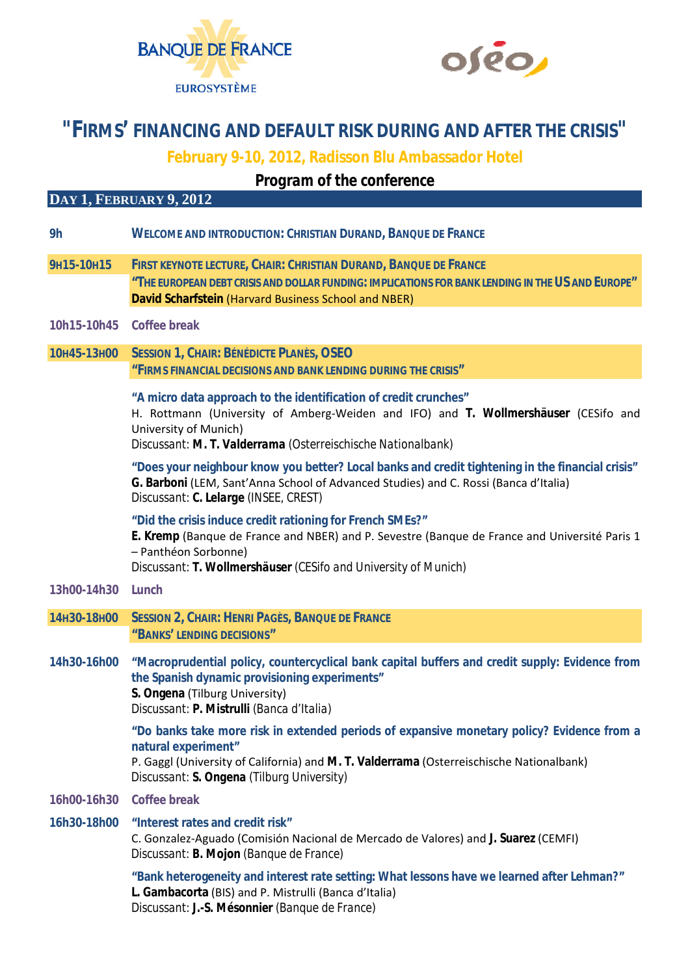



## **"FIRMS' FINANCING AND DEFAULT RISK DURING AND AFTER THE CRISIS"**

**February 9-10, 2012, Radisson Blu Ambassador Hotel** 

*Program of the conference* 

## **DAY 1, FEBRUARY 9, 2012**

| 9h                       | <b>WELCOME AND INTRODUCTION: CHRISTIAN DURAND, BANQUE DE FRANCE</b>                                                                                                                                                                                   |
|--------------------------|-------------------------------------------------------------------------------------------------------------------------------------------------------------------------------------------------------------------------------------------------------|
| 9H15-10H15               | FIRST KEYNOTE LECTURE, CHAIR: CHRISTIAN DURAND, BANQUE DE FRANCE<br>"THE EUROPEAN DEBT CRISIS AND DOLLAR FUNDING: IMPLICATIONS FOR BANK LENDING IN THE US AND EUROPE"<br>David Scharfstein (Harvard Business School and NBER)                         |
| 10h15-10h45 Coffee break |                                                                                                                                                                                                                                                       |
| 10н45-13н00              | SESSION 1, CHAIR: BÉNÉDICTE PLANÈS, OSEO<br>"FIRMS FINANCIAL DECISIONS AND BANK LENDING DURING THE CRISIS"                                                                                                                                            |
|                          | "A micro data approach to the identification of credit crunches"<br>H. Rottmann (University of Amberg-Weiden and IFO) and T. Wollmershäuser (CESifo and<br>University of Munich)<br>Discussant: M. T. Valderrama (Osterreischische Nationalbank)      |
|                          | "Does your neighbour know you better? Local banks and credit tightening in the financial crisis"<br>G. Barboni (LEM, Sant'Anna School of Advanced Studies) and C. Rossi (Banca d'Italia)<br>Discussant: C. Lelarge (INSEE, CREST)                     |
|                          | "Did the crisis induce credit rationing for French SMEs?"<br>E. Kremp (Banque de France and NBER) and P. Sevestre (Banque de France and Université Paris 1<br>- Panthéon Sorbonne)<br>Discussant: T. Wollmershäuser (CESifo and University of Munich) |
| 13h00-14h30 Lunch        |                                                                                                                                                                                                                                                       |
| 14H30-18H00              | <b>SESSION 2, CHAIR: HENRI PAGÈS, BANQUE DE FRANCE</b><br>"BANKS' LENDING DECISIONS"                                                                                                                                                                  |
| 14h30-16h00              | "Macroprudential policy, countercyclical bank capital buffers and credit supply: Evidence from<br>the Spanish dynamic provisioning experiments"<br>S. Ongena (Tilburg University)<br>Discussant: P. Mistrulli (Banca d'Italia)                        |
|                          | "Do banks take more risk in extended periods of expansive monetary policy? Evidence from a<br>natural experiment"<br>P. Gaggl (University of California) and M. T. Valderrama (Osterreischische Nationalbank)                                         |
|                          | Discussant: S. Ongena (Tilburg University)                                                                                                                                                                                                            |
| 16h00-16h30              | Coffee break                                                                                                                                                                                                                                          |
| 16h30-18h00              | "Interest rates and credit risk"<br>C. Gonzalez-Aguado (Comisión Nacional de Mercado de Valores) and J. Suarez (CEMFI)<br>Discussant: B. Mojon (Banque de France)                                                                                     |